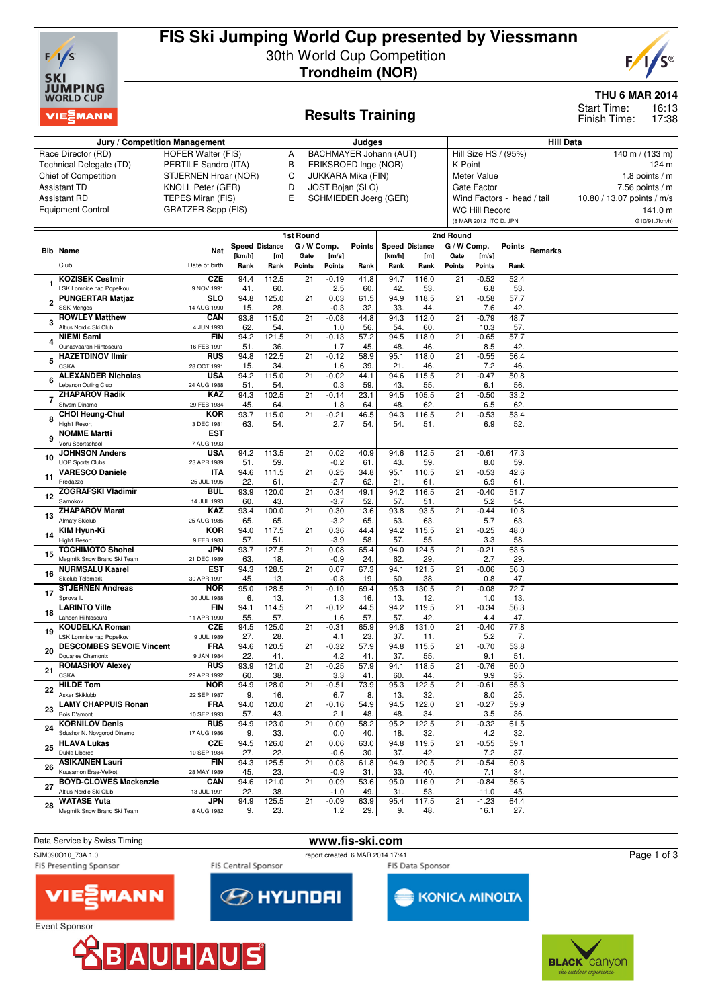

# **FIS Ski Jumping World Cup presented by Viessmann** 30th World Cup Competition **Trondheim (NOR)**



#### **THU 6 MAR 2014**

16:13 17:38 Start Time: Finish Time:

# **Results Training**

|              | Jury / Competition Management                               | Judges                                            |                                 |              |                     |                |                           | <b>Hill Data</b>                          |              |                     |                            |               |                  |                            |  |  |  |  |
|--------------|-------------------------------------------------------------|---------------------------------------------------|---------------------------------|--------------|---------------------|----------------|---------------------------|-------------------------------------------|--------------|---------------------|----------------------------|---------------|------------------|----------------------------|--|--|--|--|
|              | Race Director (RD)                                          | BACHMAYER Johann (AUT)<br>Α                       |                                 |              |                     |                |                           | Hill Size HS / (95%)<br>140 m / $(133 m)$ |              |                     |                            |               |                  |                            |  |  |  |  |
|              | Technical Delegate (TD)                                     | <b>HOFER Walter (FIS)</b><br>PERTILE Sandro (ITA) |                                 |              |                     |                | В<br>ERIKSROED Inge (NOR) |                                           |              |                     |                            |               | K-Point<br>124 m |                            |  |  |  |  |
|              | <b>Chief of Competition</b>                                 | STJERNEN Hroar (NOR)                              |                                 |              | C                   |                | JUKKARA Mika (FIN)        |                                           |              |                     | Meter Value                |               | 1.8 points $/m$  |                            |  |  |  |  |
|              | <b>Assistant TD</b>                                         | KNOLL Peter (GER)                                 |                                 |              | D                   |                | JOST Bojan (SLO)          |                                           |              |                     | Gate Factor                |               |                  | 7.56 points $/m$           |  |  |  |  |
|              | <b>Assistant RD</b>                                         | TEPES Miran (FIS)                                 |                                 |              | Е                   |                |                           | SCHMIEDER Joerg (GER)                     |              |                     | Wind Factors - head / tail |               |                  | 10.80 / 13.07 points / m/s |  |  |  |  |
|              | <b>Equipment Control</b>                                    | <b>GRATZER Sepp (FIS)</b>                         |                                 |              |                     |                |                           |                                           |              |                     | <b>WC Hill Record</b>      |               |                  | 141.0 m                    |  |  |  |  |
|              |                                                             |                                                   |                                 |              |                     |                |                           |                                           |              |                     | (8 MAR 2012 ITO D. JPN     |               |                  | G10/91.7km/h)              |  |  |  |  |
|              |                                                             |                                                   |                                 |              |                     |                |                           |                                           |              |                     |                            |               |                  |                            |  |  |  |  |
|              |                                                             |                                                   |                                 |              | 1st Round           |                |                           |                                           |              | 2nd Round           |                            |               |                  |                            |  |  |  |  |
|              | <b>Bib Name</b>                                             | Nat                                               | <b>Speed Distance</b><br>[km/h] | [m]          | G / W Comp.<br>Gate | [m/s]          | <b>Points</b>             | <b>Speed Distance</b><br>[km/h]           | [m]          | G / W Comp.<br>Gate | [m/s]                      | <b>Points</b> | Remarks          |                            |  |  |  |  |
|              | Club                                                        | Date of birth                                     | Rank                            | Rank         | Points              | Points         | Rank                      | Rank                                      | Rank         | Points              | Points                     | Rank          |                  |                            |  |  |  |  |
|              |                                                             |                                                   |                                 |              |                     |                |                           |                                           |              |                     |                            |               |                  |                            |  |  |  |  |
|              | <b>KOZISEK Cestmir</b><br>LSK Lomnice nad Popelkou          | <b>CZE</b><br>9 NOV 1991                          | 94.4<br>41.                     | 112.5<br>60. | $\overline{21}$     | $-0.19$<br>2.5 | 41.8<br>60.               | 94.7<br>42.                               | 116.0<br>53. | $\overline{21}$     | $-0.52$<br>6.8             | 52.4<br>53.   |                  |                            |  |  |  |  |
|              | <b>PUNGERTAR Matjaz</b>                                     | <b>SLO</b>                                        | 94.8                            | 125.0        | $\overline{21}$     | 0.03           | 61.5                      | 94.9                                      | 118.5        | $\overline{21}$     | $-0.58$                    | 57.7          |                  |                            |  |  |  |  |
| $\mathbf{2}$ | <b>SSK Menges</b>                                           | 14 AUG 1990                                       | 15.                             | 28.          |                     | $-0.3$         | 32.                       | 33.                                       | 44.          |                     | 7.6                        | 42            |                  |                            |  |  |  |  |
| 3            | <b>ROWLEY Matthew</b>                                       | CAN                                               | 93.8                            | 115.0        | 21                  | $-0.08$        | 44.8                      | 94.3                                      | 112.0        | 21                  | $-0.79$                    | 48.7          |                  |                            |  |  |  |  |
|              | Altius Nordic Ski Club                                      | 4 JUN 1993                                        | 62.                             | 54.          |                     | 1.0            | 56.                       | 54.                                       | 60           |                     | 10.3                       | 57.           |                  |                            |  |  |  |  |
| Δ            | <b>NIEMI Sami</b>                                           | <b>FIN</b>                                        | 94.2                            | 121.5        | 21                  | $-0.13$        | 57.2                      | 94.5                                      | 118.0        | 21                  | $-0.65$                    | 57.7          |                  |                            |  |  |  |  |
|              | Ounasvaaran Hiihtoseura<br><b>HAZETDINOV Ilmir</b>          | 16 FEB 1991<br><b>RUS</b>                         | 51<br>94.8                      | 36.<br>122.5 | 21                  | 1.7<br>$-0.12$ | 45.<br>58.9               | 48.<br>95.1                               | 46.<br>118.0 | 21                  | 8.5<br>$-0.55$             | 42<br>56.4    |                  |                            |  |  |  |  |
| 5            | <b>CSKA</b>                                                 | 28 OCT 1991                                       | 15.                             | 34           |                     | 1.6            | 39.                       | 21                                        | 46.          |                     | 7.2                        | 46            |                  |                            |  |  |  |  |
|              | <b>ALEXANDER Nicholas</b>                                   | <b>USA</b>                                        | 94.2                            | 115.0        | 21                  | $-0.02$        | 44.1                      | 94.6                                      | 115.5        | 21                  | $-0.47$                    | 50.8          |                  |                            |  |  |  |  |
| 6            | Lebanon Outing Club                                         | 24 AUG 1988                                       | 51.                             | 54.          |                     | 0.3            | 59.                       | 43.                                       | 55.          |                     | 6.1                        | 56.           |                  |                            |  |  |  |  |
| 7            | <b>ZHAPAROV Radik</b>                                       | <b>KAZ</b>                                        | 94.3                            | 102.5        | 21                  | $-0.14$        | 23.1                      | 94.5                                      | 105.5        | 21                  | $-0.50$                    | 33.2          |                  |                            |  |  |  |  |
|              | Shvsm Dinamo                                                | 29 FEB 1984                                       | 45.                             | 64.          |                     | 1.8            | 64.                       | 48.                                       | 62.          |                     | 6.5                        | 62            |                  |                            |  |  |  |  |
| 8            | <b>CHOI Heung-Chul</b><br><b>High1 Resort</b>               | KOR                                               | 93.7<br>63.                     | 115.0<br>54. | 21                  | $-0.21$<br>2.7 | 46.5<br>54.               | 94.3<br>54.                               | 116.5<br>51. | 21                  | $-0.53$                    | 53.4<br>52    |                  |                            |  |  |  |  |
|              | <b>NOMME Martti</b>                                         | 3 DEC 1981<br><b>EST</b>                          |                                 |              |                     |                |                           |                                           |              |                     | 6.9                        |               |                  |                            |  |  |  |  |
| 9            | Voru Sportschool                                            | 7 AUG 1993                                        |                                 |              |                     |                |                           |                                           |              |                     |                            |               |                  |                            |  |  |  |  |
| 10           | <b>JOHNSON Anders</b>                                       | <b>USA</b>                                        | 94.2                            | 113.5        | 21                  | 0.02           | 40.9                      | 94.6                                      | 112.5        | 21                  | $-0.61$                    | 47.3          |                  |                            |  |  |  |  |
|              | <b>UOP Sports Clubs</b>                                     | 23 APR 1989                                       | 51.                             | 59.          |                     | $-0.2$         | 61                        | 43.                                       | 59.          |                     | 8.0                        | 59            |                  |                            |  |  |  |  |
| 11           | <b>VARESCO Daniele</b>                                      | <b>ITA</b>                                        | 94.6                            | 111.5        | $\overline{21}$     | 0.25           | 34.8                      | 95.1                                      | 110.5        | 21                  | $-0.53$                    | 42.6          |                  |                            |  |  |  |  |
|              | Predazzo<br><b>ZOGRAFSKI Vladimir</b>                       | 25 JUL 1995<br><b>BUL</b>                         | 22.<br>93.9                     | 61.<br>120.0 | 21                  | $-2.7$<br>0.34 | 62.<br>49.1               | 21.<br>94.2                               | 61.<br>116.5 | 21                  | 6.9<br>$-0.40$             | 61<br>51.7    |                  |                            |  |  |  |  |
| 12           | Samokov                                                     | 14 JUL 1993                                       | 60.                             | 43.          |                     | $-3.7$         | 52.                       | 57.                                       | 51.          |                     | 5.2                        | 54            |                  |                            |  |  |  |  |
| 13           | <b>ZHAPAROV Marat</b>                                       | <b>KAZ</b>                                        | 93.4                            | 100.0        | 21                  | 0.30           | 13.6                      | 93.8                                      | 93.5         | 21                  | $-0.44$                    | 10.8          |                  |                            |  |  |  |  |
|              | Almaty Skiclub                                              | 25 AUG 1985                                       | 65.                             | 65.          |                     | $-3.2$         | 65.                       | 63.                                       | 63.          |                     | 5.7                        | 63            |                  |                            |  |  |  |  |
| 14           | KIM Hyun-Ki                                                 | KOR                                               | 94.0                            | 117.5        | 21                  | 0.36           | 44.4                      | 94.2                                      | 115.5        | 21                  | $-0.25$                    | 48.0          |                  |                            |  |  |  |  |
|              | High1 Resort<br><b>TOCHIMOTO Shohei</b>                     | 9 FEB 1983<br>JPN                                 | 57.<br>93.7                     | 51.<br>127.5 | 21                  | $-3.9$<br>0.08 | 58.<br>65.4               | 57.<br>94.0                               | 55.<br>124.5 | 21                  | 3.3<br>$-0.21$             | 58<br>63.6    |                  |                            |  |  |  |  |
| 15           | Megmilk Snow Brand Ski Team                                 | 21 DEC 1989                                       | 63.                             | 18.          |                     | $-0.9$         | 24.                       | 62.                                       | 29.          |                     | 2.7                        | 29.           |                  |                            |  |  |  |  |
| 16           | <b>NURMSALU Kaarel</b>                                      | EST                                               | 94.3                            | 128.5        | 21                  | 0.07           | 67.3                      | 94.1                                      | 121.5        | 21                  | $-0.06$                    | 56.3          |                  |                            |  |  |  |  |
|              | Skiclub Telemark                                            | 30 APR 1991                                       | 45.                             | 13.          |                     | $-0.8$         | 19.                       | 60.                                       | 38.          |                     | 0.8                        | 47.           |                  |                            |  |  |  |  |
| 17           | <b>STJERNEN Andreas</b><br>Sprova IL                        | <b>NOR</b><br>30 JUL 1988                         | 95.0<br>6.                      | 128.5<br>13. | 21                  | $-0.10$<br>1.3 | 69.4<br>16.               | 95.3<br>13.                               | 130.5<br>12. | 21                  | $-0.08$<br>1.0             | 72.7<br>13.   |                  |                            |  |  |  |  |
|              | <b>LARINTO Ville</b>                                        | <b>FIN</b>                                        | 94.1                            | 114.5        | 21                  | $-0.12$        | 44.5                      | 94.2                                      | 119.5        | $\overline{21}$     | $-0.34$                    | 56.3          |                  |                            |  |  |  |  |
| 18           | Lahden Hiihtoseura                                          | 11 APR 1990                                       | 55.                             | 57.          |                     | 1.6            | 57.                       | 57.                                       | 42           |                     | 4.4                        | 47            |                  |                            |  |  |  |  |
| 19           | <b>KOUDELKA Roman</b>                                       | <b>CZE</b>                                        | 94.5                            | 125.0        | 21                  | $-0.31$        | 65.9                      | 94.8                                      | 131.0        | 21                  | $-0.40$                    | 77.8          |                  |                            |  |  |  |  |
|              | LSK Lomnice nad Popelkov<br><b>DESCOMBES SEVOIE Vincent</b> | 9 JUL 1989<br><b>FRA</b>                          | 27.<br>94.6                     | 28.<br>120.5 | $\overline{21}$     | 4.1<br>$-0.32$ | 23.<br>57.9               | 37.<br>94.8                               | 11.<br>115.5 | 21                  | 5.2<br>$-0.70$             | 7.<br>53.8    |                  |                            |  |  |  |  |
| 20           | Douanes Chamonix                                            | 9 JAN 1984                                        | 22.                             | 41.          |                     | 4.2            | 41.                       | 37.                                       | 55.          |                     | 9.1                        | 51            |                  |                            |  |  |  |  |
| 21           | <b>ROMASHOV Alexey</b>                                      | <b>RUS</b>                                        | 93.9                            | 121.0        | 21                  | $-0.25$        | 57.9                      | 94.1                                      | 118.5        | 21                  | $-0.76$                    | 60.0          |                  |                            |  |  |  |  |
|              | CSKA                                                        | 29 APR 1992                                       | 60.                             | 38.          |                     | 3.3            | 41.                       | 60.                                       | 44.          |                     | 9.9                        | 35.           |                  |                            |  |  |  |  |
| 22           | <b>HILDE Tom</b>                                            | <b>NOR</b>                                        | 94.9                            | 128.0        | 21                  | $-0.51$        | 73.9                      | 95.3                                      | 122.5        | 21                  | $-0.61$                    | 65.3          |                  |                            |  |  |  |  |
|              | Asker Skiklubb<br><b>LAMY CHAPPUIS Ronan</b>                | 22 SEP 1987<br><b>FRA</b>                         | 9.<br>94.0                      | 16.<br>120.0 | 21                  | 6.7<br>$-0.16$ | 8.<br>54.9                | 13.<br>94.5                               | 32.<br>122.0 | 21                  | 8.0<br>$-0.27$             | 25.<br>59.9   |                  |                            |  |  |  |  |
| 23           | Bois D'amont                                                | 10 SEP 1993                                       | 57.                             | 43.          |                     | 2.1            | 48.                       | 48.                                       | 34.          |                     | 3.5                        | 36.           |                  |                            |  |  |  |  |
| 24           | <b>KORNILOV Denis</b>                                       | <b>RUS</b>                                        | 94.9                            | 123.0        | 21                  | 0.00           | 58.2                      | 95.2                                      | 122.5        | 21                  | $-0.32$                    | 61.5          |                  |                            |  |  |  |  |
|              | Sdushor N. Novgorod Dinamo                                  | 17 AUG 1986                                       | 9.                              | 33.          |                     | 0.0            | 40.                       | 18.                                       | 32.          |                     | 4.2                        | 32.           |                  |                            |  |  |  |  |
| 25           | <b>HLAVA Lukas</b>                                          | CZE                                               | 94.5                            | 126.0        | 21                  | 0.06           | 63.0                      | 94.8                                      | 119.5        | 21                  | $-0.55$                    | 59.1          |                  |                            |  |  |  |  |
|              | Dukla Liberec<br><b>ASIKAINEN Lauri</b>                     | 10 SEP 1984<br>FIN                                | 27.<br>94.3                     | 22.<br>125.5 | 21                  | $-0.6$<br>0.08 | 30.<br>61.8               | 37.<br>94.9                               | 42.<br>120.5 | 21                  | 7.2<br>$-0.54$             | 37.<br>60.8   |                  |                            |  |  |  |  |
| 26           | Kuusamon Erae-Veikot                                        | 28 MAY 1989                                       | 45.                             | 23.          |                     | -0.9           | 31.                       | 33.                                       | 40.          |                     | 7.1                        | 34.           |                  |                            |  |  |  |  |
| 27           | <b>BOYD-CLOWES Mackenzie</b>                                | CAN                                               | 94.6                            | 121.0        | 21                  | 0.09           | 53.6                      | 95.0                                      | 116.0        | 21                  | $-0.84$                    | 56.6          |                  |                            |  |  |  |  |
|              | Altius Nordic Ski Club                                      | 13 JUL 1991                                       | 22.                             | 38.          |                     | $-1.0$         | 49.                       | 31.                                       | 53.          |                     | 11.0                       | 45.           |                  |                            |  |  |  |  |
| 28           | <b>WATASE Yuta</b>                                          | <b>JPN</b>                                        | 94.9                            | 125.5        | 21                  | $-0.09$        | 63.9                      | 95.4                                      | 117.5        | 21                  | $-1.23$                    | 64.4          |                  |                            |  |  |  |  |
|              | Megmilk Snow Brand Ski Team                                 | 8 AUG 1982                                        | 9.                              | 23.          |                     | $1.2$          | 29.                       | 9.                                        | 48.          |                     | 16.1                       | 27.           |                  |                            |  |  |  |  |



SJM090O10\_73A 1.0<br>FIS Presenting Sponsor FIS Central Sponsor FIS Central Sponsor FIS Da

Event Sponsor

FIS Central Sponsor

**EXPLAY UP OF THE STATE** 



Page 1 of 3





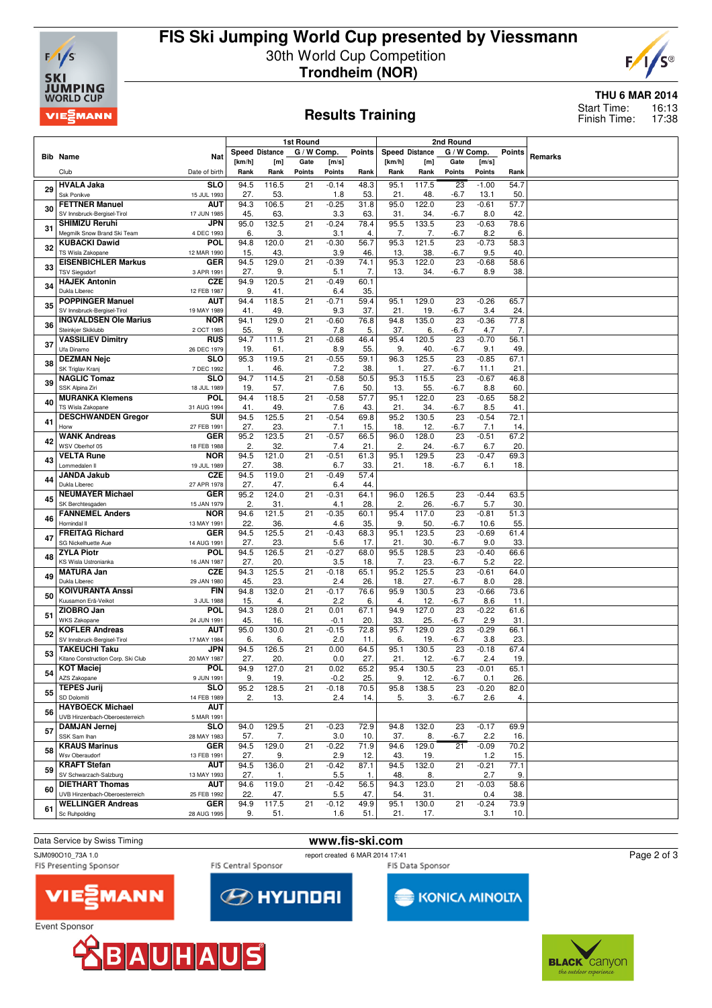

# **FIS Ski Jumping World Cup presented by Viessmann** 30th World Cup Competition **Trondheim (NOR)**



### **Results Training**

### **THU 6 MAR 2014**

16:13 17:38 Start Time: Finish Time:

|    |                                                      |                           | 1st Round             |              |                 |                   |               | 2nd Round             |              |              |                 |               |         |
|----|------------------------------------------------------|---------------------------|-----------------------|--------------|-----------------|-------------------|---------------|-----------------------|--------------|--------------|-----------------|---------------|---------|
|    | <b>Bib Name</b>                                      | <b>Nat</b>                | <b>Speed Distance</b> |              | G / W Comp.     |                   | <b>Points</b> | <b>Speed Distance</b> |              | G / W Comp.  |                 | <b>Points</b> | Remarks |
|    |                                                      |                           | [km/h]                | [m]          | Gate            | [m/s]             |               | [km/h]                | [m]          | Gate         | [m/s]           |               |         |
|    | Club                                                 | Date of birth             | Rank                  | Rank         | Points          | Points            | Rank          | Rank                  | Rank         | Points       | Points          | Rank          |         |
| 29 | <b>HVALA Jaka</b><br>Ssk Ponikve                     | <b>SLO</b><br>15 JUL 1993 | 94.5<br>27.           | 116.5<br>53. | 21              | $-0.14$<br>1.8    | 48.3<br>53.   | 95.1<br>21.           | 117.5<br>48. | 23<br>-6.7   | $-1.00$<br>13.1 | 54.7<br>50.   |         |
|    | <b>FETTNER Manuel</b>                                | <b>AUT</b>                | 94.3                  | 106.5        | 21              | $-0.25$           | 31.8          | 95.0                  | 122.0        | 23           | $-0.61$         | 57.7          |         |
| 30 | SV Innsbruck-Bergisel-Tirol                          | 17 JUN 1985               | 45.                   | 63.          |                 | 3.3               | 63.           | 31.                   | 34.          | -6.7         | 8.0             | 42.           |         |
| 31 | <b>SHIMIZU Reruhi</b><br>Megmilk Snow Brand Ski Team | JPN                       | 95.0<br>6.            | 132.5        | 21              | $-0.24$           | 78.4          | 95.5                  | 133.5        | 23           | $-0.63$         | 78.6          |         |
|    | <b>KUBACKI Dawid</b>                                 | 4 DEC 1993<br>POL         | 94.8                  | 3.<br>120.0  | 21              | 3.1<br>$-0.30$    | 4.<br>56.7    | 7.<br>95.3            | 7.<br>121.5  | $-6.7$<br>23 | 8.2<br>$-0.73$  | 6.<br>58.3    |         |
| 32 | TS Wisla Zakopane                                    | 12 MAR 1990               | 15.                   | 43.          |                 | 3.9               | 46.           | 13.                   | 38.          | $-6.7$       | 9.5             | 40.           |         |
| 33 | <b>EISENBICHLER Markus</b>                           | <b>GER</b>                | 94.5                  | 129.0        | 21              | $-0.39$           | 74.1          | $\overline{95.3}$     | 122.0        | 23           | $-0.68$         | 58.6          |         |
|    | <b>TSV Siegsdorf</b><br><b>HAJEK Antonin</b>         | 3 APR 1991<br><b>CZE</b>  | 27.<br>94.9           | 9.<br>120.5  | 21              | 5.1<br>$-0.49$    | 7.<br>60.1    | 13.                   | 34.          | $-6.7$       | 8.9             | 38.           |         |
| 34 | Dukla Liberec                                        | 12 FEB 1987               | 9.                    | 41.          |                 | 6.4               | 35.           |                       |              |              |                 |               |         |
| 35 | <b>POPPINGER Manuel</b>                              | AUT                       | 94.4                  | 118.5        | 21              | $-0.71$           | 59.4          | 95.1                  | 129.0        | 23           | $-0.26$         | 65.7          |         |
|    | SV Innsbruck-Bergisel-Tirol                          | 19 MAY 1989               | 41.                   | 49.          |                 | 9.3               | 37.           | 21.                   | 19.          | $-6.7$       | 3.4             | 24.           |         |
| 36 | <b>INGVALDSEN Ole Marius</b><br>Steinkjer Skiklubb   | <b>NOR</b><br>2 OCT 1985  | 94.1<br>55.           | 129.0<br>9.  | 21              | $-0.60$<br>7.8    | 76.8<br>5.    | 94.8<br>37.           | 135.0<br>6.  | 23<br>$-6.7$ | $-0.36$<br>4.7  | 77.8<br>7.    |         |
|    | <b>VASSILIEV Dimitry</b>                             | <b>RUS</b>                | 94.7                  | 111.5        | 21              | $-0.68$           | 46.4          | 95.4                  | 120.5        | 23           | $-0.70$         | 56.1          |         |
| 37 | Ufa Dinamo                                           | 26 DEC 1979               | 19.                   | 61.          |                 | 8.9               | 55.           | 9.                    | 40.          | -6.7         | 9.1             | 49.           |         |
| 38 | <b>DEZMAN Nejc</b>                                   | <b>SLO</b>                | 95.3                  | 119.5        | 21              | $-0.55$           | 59.1          | 96.3                  | 125.5        | 23           | $-0.85$         | 67.1          |         |
|    | SK Triglav Kranj<br><b>NAGLIC Tomaz</b>              | 7 DEC 1992<br><b>SLO</b>  | $\mathbf{1}$<br>94.7  | 46.<br>114.5 | 21              | 7.2<br>$-0.58$    | 38.<br>50.5   | -1.<br>95.3           | 27.<br>115.5 | -6.7<br>23   | 11.1<br>$-0.67$ | 21.<br>46.8   |         |
| 39 | SSK Alpina Ziri                                      | 18 JUL 1989               | 19.                   | 57.          |                 | 7.6               | 50.           | 13.                   | 55.          | $-6.7$       | 8.8             | 60.           |         |
| 40 | <b>MURANKA Klemens</b>                               | <b>POL</b>                | 94.4                  | 118.5        | 21              | $-0.58$           | 57.7          | 95.1                  | 122.0        | 23           | $-0.65$         | 58.2          |         |
|    | TS Wisla Zakopane                                    | 31 AUG 1994               | 41.                   | 49.          |                 | 7.6               | 43.           | 21.                   | 34.          | $-6.7$       | 8.5             | 41.           |         |
| 41 | <b>DESCHWANDEN Gregor</b><br>Horw                    | SUI<br>27 FEB 1991        | 94.5<br>27.           | 125.5<br>23. | 21              | $-0.54$<br>7.1    | 69.8<br>15.   | 95.2<br>18.           | 130.5<br>12. | 23<br>$-6.7$ | $-0.54$<br>7.1  | 72.1<br>14.   |         |
|    | <b>WANK Andreas</b>                                  | <b>GER</b>                | 95.2                  | 123.5        | $\overline{21}$ | $-0.57$           | 66.5          | 96.0                  | 128.0        | 23           | $-0.51$         | 67.2          |         |
| 42 | WSV Oberhof 05                                       | 18 FEB 1988               | 2.                    | 32.          |                 | 7.4               | 21.           | 2.                    | 24.          | $-6.7$       | 6.7             | 20.           |         |
| 43 | <b>VELTA Rune</b><br>Lommedalen II                   | <b>NOR</b><br>19 JUL 1989 | 94.5<br>27.           | 121.0<br>38. | 21              | $-0.51$<br>6.7    | 61.3<br>33.   | 95.1<br>21.           | 129.5<br>18. | 23<br>-6.7   | $-0.47$<br>6.1  | 69.3<br>18.   |         |
|    | <b>JANDA Jakub</b>                                   | <b>CZE</b>                | 94.5                  | 119.0        | 21              | $-0.49$           | 57.4          |                       |              |              |                 |               |         |
| 44 | Dukla Liberec                                        | 27 APR 1978               | 27.                   | 47.          |                 | 6.4               | 44.           |                       |              |              |                 |               |         |
| 45 | <b>NEUMAYER Michael</b>                              | <b>GER</b>                | 95.2                  | 124.0        | 21              | $-0.31$           | 64.1          | 96.0                  | 126.5        | 23           | $-0.44$         | 63.5          |         |
|    | SK Berchtesgaden<br><b>FANNEMEL Anders</b>           | 15 JAN 1979<br><b>NOR</b> | 2.<br>94.6            | 31.<br>121.5 | 21              | 4.1<br>$-0.35$    | 28.<br>60.1   | 2.<br>95.4            | 26.<br>117.0 | $-6.7$<br>23 | 5.7<br>$-0.81$  | 30.<br>51.3   |         |
| 46 | Hornindal II                                         | 13 MAY 1991               | 22.                   | 36.          |                 | 4.6               | 35.           | 9.                    | 50.          | $-6.7$       | 10.6            | 55.           |         |
| 47 | <b>FREITAG Richard</b>                               | <b>GER</b>                | 94.5                  | 125.5        | 21              | $-0.43$           | 68.3          | 95.1                  | 123.5        | 23           | $-0.69$         | 61.4          |         |
|    | SG Nickelhuette Aue<br><b>ZYLA Piotr</b>             | 14 AUG 1991<br><b>POL</b> | 27.<br>94.5           | 23.<br>126.5 | 21              | 5.6<br>$-0.27$    | 17.<br>68.0   | 21.<br>95.5           | 30.<br>128.5 | -6.7<br>23   | 9.0<br>$-0.40$  | 33.<br>66.6   |         |
| 48 | <b>KS Wisla Ustronianka</b>                          | 16 JAN 1987               | 27.                   | 20.          |                 | 3.5               | 18.           | 7.                    | 23.          | $-6.7$       | 5.2             | 22.           |         |
| 49 | <b>MATURA Jan</b>                                    | <b>CZE</b>                | 94.3                  | 125.5        | 21              | $-0.18$           | 65.1          | 95.2                  | 125.5        | 23           | $-0.61$         | 64.0          |         |
|    | Dukla Liberec                                        | 29 JAN 1980               | 45.                   | 23.          |                 | 2.4               | 26.           | 18.                   | 27.          | $-6.7$       | 8.0             | 28.           |         |
| 50 | <b>KOIVURANTA Anssi</b><br>Kuusamon Erä-Veikot       | <b>FIN</b><br>3 JUL 1988  | 94.8<br>15.           | 132.0<br>4.  | 21              | $-0.17$<br>2.2    | 76.6<br>6.    | 95.9<br>4.            | 130.5<br>12. | 23<br>-6.7   | $-0.66$<br>8.6  | 73.6<br>11.   |         |
|    | ZIOBRO Jan                                           | <b>POL</b>                | 94.3                  | 128.0        | $\overline{21}$ | 0.01              | 67.1          | 94.9                  | 127.0        | 23           | $-0.22$         | 61.6          |         |
| 51 | <b>WKS Zakopane</b>                                  | 24 JUN 1991               | 45.                   | 16.          |                 | $-0.1$            | 20.           | 33.                   | 25.          | -6.7         | 2.9             | 31.           |         |
| 52 | <b>KOFLER Andreas</b>                                | <b>AUT</b>                | 95.0<br>6.            | 130.0<br>6.  | 21              | $-0.15$<br>2.0    | 72.8          | 95.7<br>6.            | 129.0        | 23           | $-0.29$         | 66.1<br>23.   |         |
|    | SV Innsbruck-Bergisel-Tirol<br>TAKEUCHI Taku         | 17 MAY 1984<br>JPN        | 94.5                  | 126.5        | 21              | 0.00              | 11.<br>64.5   | 95.1                  | 19.<br>130.5 | $-6.7$<br>23 | 3.8<br>$-0.18$  | 67.4          |         |
| 53 | Kitano Construction Corp. Ski Club                   | 20 MAY 1987               | 27.                   | 20.          |                 | 0.0               | 27.           | 21.                   | 12.          | $-6.7$       | 2.4             | 19.           |         |
| 54 | <b>KOT Maciej</b>                                    | <b>POL</b>                | 94.9                  | 127.0        | 21              | 0.02              | 65.2          | 95.4                  | 130.5        | 23           | $-0.01$         | 65.1          |         |
|    | AZS Zakopane<br><b>TEPES Jurij</b>                   | 9 JUN 1991<br><b>SLO</b>  | 9.<br>95.2            | 19.<br>128.5 | $\overline{21}$ | $-0.2$<br>$-0.18$ | 25.<br>70.5   | 9.<br>95.8            | 12.<br>138.5 | -6.7<br>23   | 0.1<br>$-0.20$  | 26.<br>82.0   |         |
| 55 | SD Dolomiti                                          | 14 FEB 1989               | 2.                    | 13.          |                 | 2.4               | 14.           | 5.                    | 3.           | -6.7         | 2.6             | 4.            |         |
| 56 | <b>HAYBOECK Michael</b>                              | <b>AUT</b>                |                       |              |                 |                   |               |                       |              |              |                 |               |         |
|    | UVB Hinzenbach-Oberoesterreich                       | 5 MAR 1991                |                       |              |                 |                   |               |                       |              |              |                 |               |         |
| 57 | <b>DAMJAN Jernej</b><br>SSK Sam Ihan                 | <b>SLO</b><br>28 MAY 1983 | 94.0<br>57.           | 129.5<br>7.  | 21              | $-0.23$<br>3.0    | 72.9<br>10.   | 94.8<br>37.           | 132.0<br>8.  | 23<br>-6.7   | $-0.17$<br>2.2  | 69.9<br>16.   |         |
|    | <b>KRAUS Marinus</b>                                 | GER                       | 94.5                  | 129.0        | 21              | $-0.22$           | 71.9          | 94.6                  | 129.0        | 21           | $-0.09$         | 70.2          |         |
| 58 | Wsv Oberaudorf                                       | 13 FEB 1991               | 27.                   | 9.           |                 | 2.9               | 12.           | 43.                   | 19.          |              | $1.2$           | 15.           |         |
| 59 | <b>KRAFT Stefan</b>                                  | <b>AUT</b>                | 94.5                  | 136.0        | 21              | $-0.42$           | 87.1          | 94.5                  | 132.0        | 21           | $-0.21$         | 77.1          |         |
|    | SV Schwarzach-Salzburg<br><b>DIETHART Thomas</b>     | 13 MAY 1993<br><b>AUT</b> | 27.<br>94.6           | 1.<br>119.0  | 21              | 5.5<br>$-0.42$    | -1.<br>56.5   | 48.<br>94.3           | 8.<br>123.0  | 21           | 2.7<br>$-0.03$  | 9.<br>58.6    |         |
| 60 | UVB Hinzenbach-Oberoesterreich                       | 25 FEB 1992               | 22.                   | 47.          |                 | 5.5               | 47.           | 54.                   | 31.          |              | 0.4             | 38.           |         |
| 61 | <b>WELLINGER Andreas</b>                             | <b>GER</b>                | 94.9                  | 117.5        | 21              | $-0.12$           | 49.9          | 95.1                  | 130.0        | 21           | $-0.24$         | 73.9          |         |
|    | Sc Ruhpolding                                        | 28 AUG 1995               | 9.                    | 51.          |                 | 1.6               | 51.           | 21.                   | 17.          |              | 3.1             | 10.           |         |

#### Data Service by Swiss Timing **www.fis-ski.com**<br>
SJM090010 73A 1.0<br> **www.fis-ski.com**<br> **www.fis-ski.com** report created 6 MAR 2014 17:41

FIS Presenting Sponsor

Event Sponsor

FIS Central Sponsor

**EXPLAY UP OF STREET** 

FIS Data Sponsor

KONICA MINOLTA

Page 2 of 3